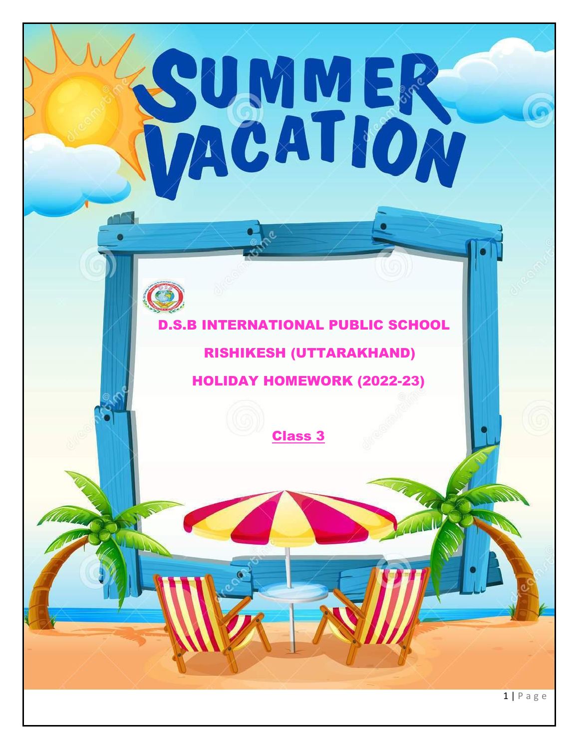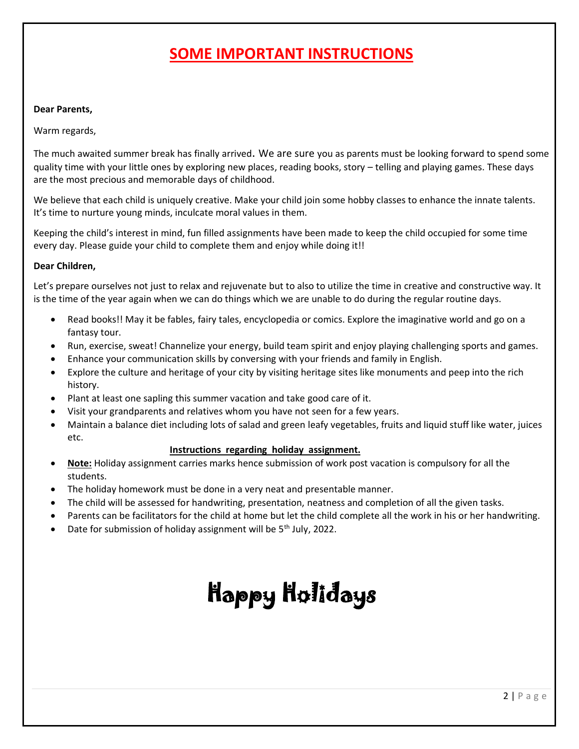### **SOME IMPORTANT INSTRUCTIONS**

#### **Dear Parents,**

Warm regards,

The much awaited summer break has finally arrived. We are sure you as parents must be looking forward to spend some quality time with your little ones by exploring new places, reading books, story – telling and playing games. These days are the most precious and memorable days of childhood.

We believe that each child is uniquely creative. Make your child join some hobby classes to enhance the innate talents. It's time to nurture young minds, inculcate moral values in them.

Keeping the child's interest in mind, fun filled assignments have been made to keep the child occupied for some time every day. Please guide your child to complete them and enjoy while doing it!!

#### **Dear Children,**

Let's prepare ourselves not just to relax and rejuvenate but to also to utilize the time in creative and constructive way. It is the time of the year again when we can do things which we are unable to do during the regular routine days.

- Read books!! May it be fables, fairy tales, encyclopedia or comics. Explore the imaginative world and go on a fantasy tour.
- Run, exercise, sweat! Channelize your energy, build team spirit and enjoy playing challenging sports and games.
- Enhance your communication skills by conversing with your friends and family in English.
- Explore the culture and heritage of your city by visiting heritage sites like monuments and peep into the rich history.
- Plant at least one sapling this summer vacation and take good care of it.
- Visit your grandparents and relatives whom you have not seen for a few years.
- Maintain a balance diet including lots of salad and green leafy vegetables, fruits and liquid stuff like water, juices etc.

#### **Instructions regarding holiday assignment.**

- **Note:** Holiday assignment carries marks hence submission of work post vacation is compulsory for all the students.
- The holiday homework must be done in a very neat and presentable manner.
- The child will be assessed for handwriting, presentation, neatness and completion of all the given tasks.
- Parents can be facilitators for the child at home but let the child complete all the work in his or her handwriting.
- Date for submission of holiday assignment will be 5<sup>th</sup> July, 2022.

# Happy Holidays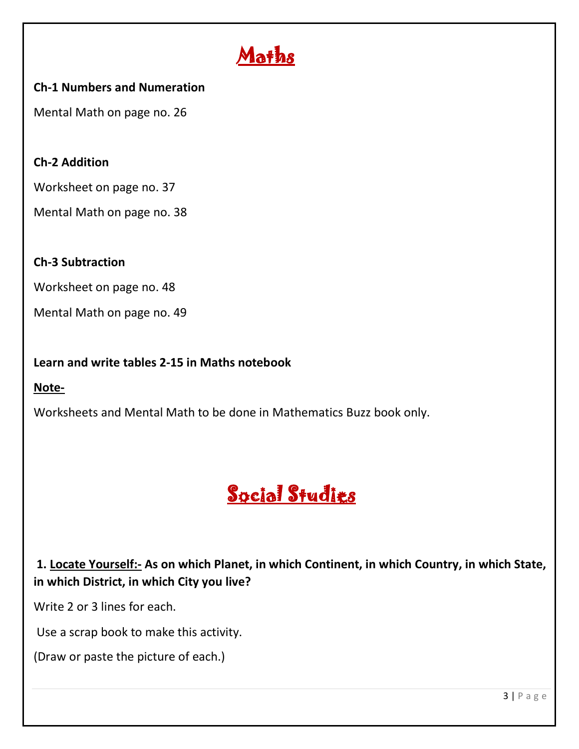

#### **Ch-1 Numbers and Numeration**

Mental Math on page no. 26

#### **Ch-2 Addition**

Worksheet on page no. 37

Mental Math on page no. 38

#### **Ch-3 Subtraction**

Worksheet on page no. 48

Mental Math on page no. 49

#### **Learn and write tables 2-15 in Maths notebook**

#### **Note-**

Worksheets and Mental Math to be done in Mathematics Buzz book only.

## Social Studies

**1. Locate Yourself:- As on which Planet, in which Continent, in which Country, in which State, in which District, in which City you live?** 

Write 2 or 3 lines for each.

Use a scrap book to make this activity.

(Draw or paste the picture of each.)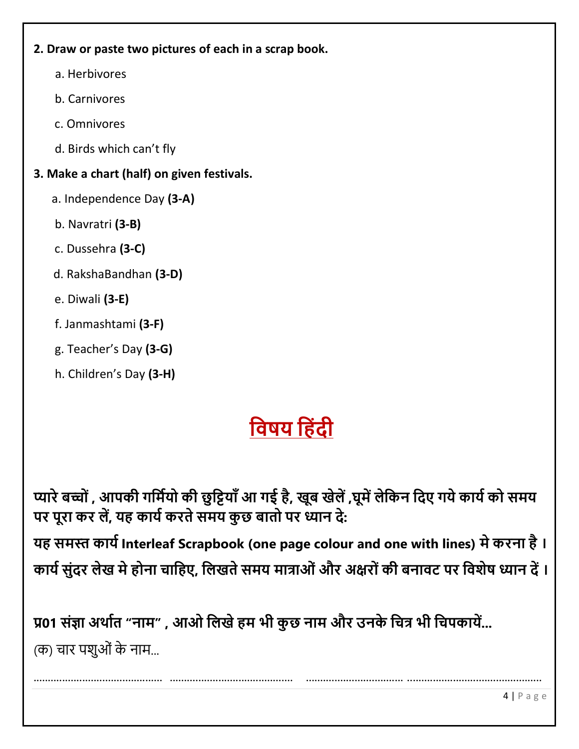#### **2. Draw or paste two pictures of each in a scrap book.**

- a. Herbivores
- b. Carnivores
- c. Omnivores
- d. Birds which can't fly

#### **3. Make a chart (half) on given festivals.**

- a. Independence Day **(3-A)**
- b. Navratri **(3-B)**
- c. Dussehra **(3-C)**
- d. RakshaBandhan **(3-D)**
- e. Diwali **(3-E)**
- f. Janmashtami **(3-F)**
- g. Teacher's Day **(3-G)**
- h. Children's Day **(3-H)**

# **विषय व िंदी**

**प्यारे बच्चिं, आपकी गवमियच की छु वियााँ आ गई ै, खूब खेलें,घूमेंलेवकन वदए गये कायि कच समय पर पूरा कर लें, य कायि करते समय कु छ बातच पर ध्यान दे: य समस्त कायि Interleaf Scrapbook (one page colour and one with lines) मे करना ै । कायि सुिंदर लेख मे चना चाव ए, वलखते समय मात्राओिंऔर अक्षरचिंकी बनािट पर विशेष ध्यान दें।**

............................................. ........................................... .................................. ...............................................

**प्र01 सिंज्ञा अर्ाित "नाम" , आओ वलखे म भी कु छ नाम और उनके वचत्र भी वचपकायें...** (क) चार पशुओं के नाम...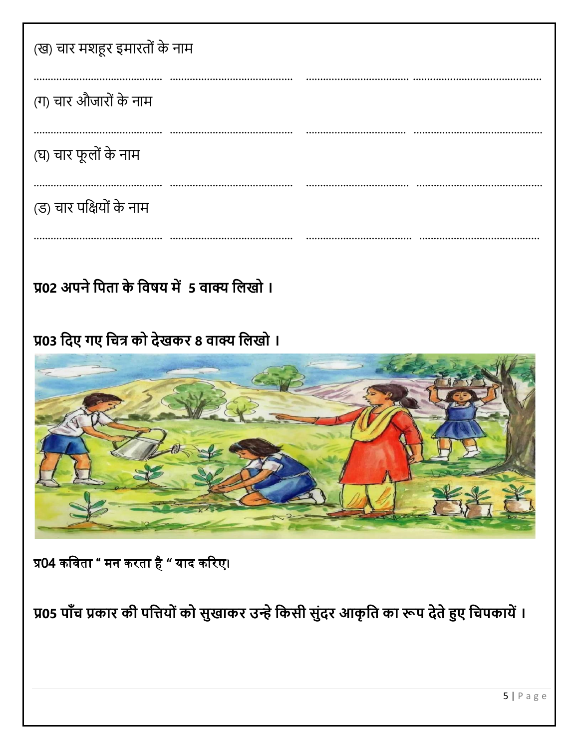| (ख) चार मशहूर इमारतों के नाम |  |
|------------------------------|--|
|                              |  |
| (ग) चार औजारों के नाम        |  |
|                              |  |
| (घ) चार फूलों के नाम         |  |
|                              |  |
| (ड) चार पक्षियों के नाम      |  |
|                              |  |

## प्र02 अपने पिता के विषय में 5 वाक्य लिखो ।

### प्र03 दिए गए चित्र को देखकर 8 वाक्य लिखो ।



प्र04 कविता " मन करता है " याद करिए।

प्र05 पाँच प्रकार की पत्तियों को सुखाकर उन्हे किसी सुंदर आकृति का रूप देते हुए चिपकायें ।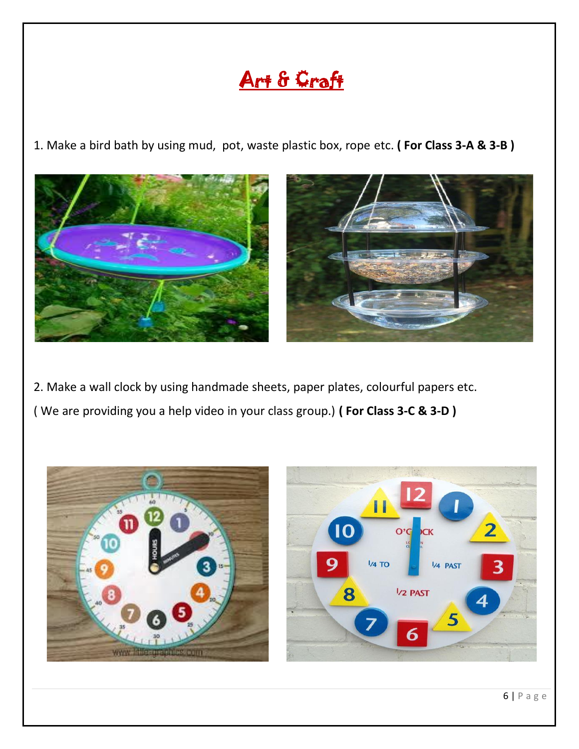## Art & Craft

1. Make a bird bath by using mud, pot, waste plastic box, rope etc. **( For Class 3-A & 3-B )**



2. Make a wall clock by using handmade sheets, paper plates, colourful papers etc.

( We are providing you a help video in your class group.) **( For Class 3-C & 3-D )**